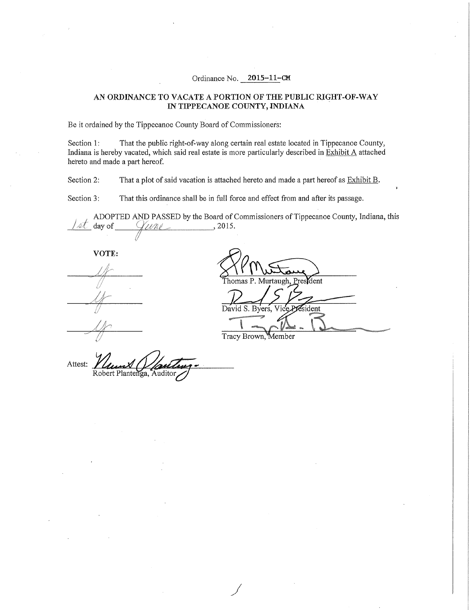## Ordinance No. **2015-11-CM**

## **AN ORDINANCE TO VACATE A PORTION OF THE PUBLIC RIGHT-OF-WAY IN TIPPECANOE COUNTY, INDIANA**

Be it ordained by the Tippecanoe County Board of Commissioners:

Section 1: That the public right-of-way along certain real estate located in Tippecanoe County, Indiana is hereby vacated, which said real estate is more particularly described in Exhibit A attached hereto and made a part hereof.

Section 2: That a plot of said vacation is attached hereto and made a part hereof as **Exhibit B**.

Section 3: That this ordinance shall be in full force and effect from and after its passage.

ADOPTED AND PASSED by the Board of Commissioners of Tippecanoe County, Indiana, this  $\mathcal{U}$ une,  $\qquad \qquad$ , 2015.  $\sqrt{4\mathcal{L}}$  day of

**VOTE:** 

*ti* 

Thomas P. Murtaugh, President David S. Byers. sident

Tracy Brown, Member

Attest: Robert Plantenga, Auditor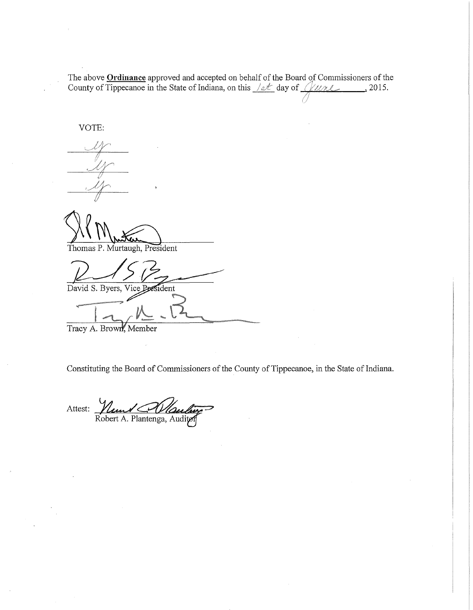The above **Ordinance** approved and accepted on behalf of the Board qf Commissioners of the County of Tippecanoe in the State of Indiana, on this  $\sqrt{\alpha t}$  day of  $\sqrt{\mu \mu L}$ , 2015. !/1

VOTE:

Thomas P. Murtaugh, President

David S. Byers, Vice President

Tracy A. Brown, Member

Constituting the Board of Commissioners of the County of Tippecanoe, in the State of Indiana.

Attest: *Number 19 Maulin*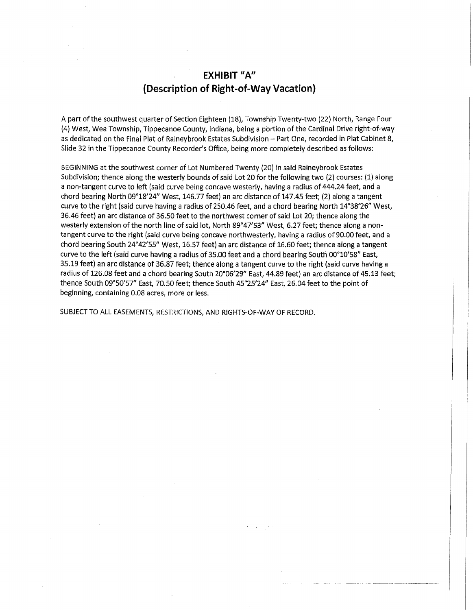## **EXHIBIT "A" (Description of Right-of-Way Vacation)**

A part of the southwest quarter of Section Eighteen (18), Township Twenty-two (22) North, Range Four (4) West, Wea Township, Tippecanoe County, Indiana, being a portion of the Cardinal Drive right-of-way as dedicated on the Final Plat of Raineybrook Estates Subdivision - Part One, recorded in Plat Cabinet 8, Slide 32 in the Tippecanoe County Recorder's Office, being more completely described as follows:

BEGINNING at the southwest corner of Lot Numbered Twenty {20) in said Raineybrook Estates Subdivision; thence along the westerly bounds of said Lot 20 for the following two (2) courses: (1) along a non-tangent curve to left (said curve being concave westerly, having a radius of 444.24 feet, and a chord bearing North 09°18'24" West, 146.77 feet) an arc distance of 147.45 feet; (2) along a tangent curve to the right (said curve having a radius of 250.46 feet, and a chord bearing North 14°38'26" West, 36.46 feet) an arc distance of 36.50 feet to the northwest corner of said Lot 20; thence along the westerly extension of the north line of said lot, North 89°47'53" West, 6.27 feet; thence along a nontangent curve to the right (said curve being concave northwesterly, having a radius of 90.00 feet, and a chord bearing South 24°42'55" West, 16.57 feet) an arc distance of 16.60 feet; thence along a tangent curve to the left (said curve having a radius of 35.00 feet and a chord bearing South 00°10'58" East, 35.19 feet) an arc distance of 36.87 feet; thence along a tangent curve to the right (said curve having a radius of 126.08 feet and a chord bearing South 20°06'29" East, 44.89 feet) an arc distance of 45.13 feet; thence South 09°50'57" East, 70.50 feet; thence South 45°25'24" East, 26.04 feet to the point of beginning, containing 0.08 acres, more or less.

SUBJECT TO ALL EASEMENTS, RESTRICTIONS, AND RIGHTS-OF-WAY OF RECORD.